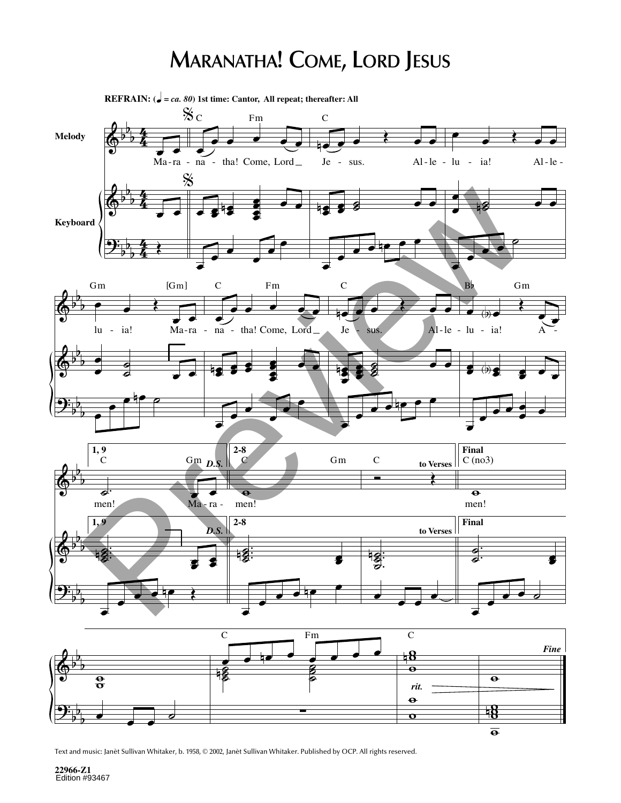## **MARANATHA! COME, LORD JESUS**



Text and music: Janèt Sullivan Whitaker, b. 1958, © 2002, Janèt Sullivan Whitaker. Published by OCP. All rights reserved.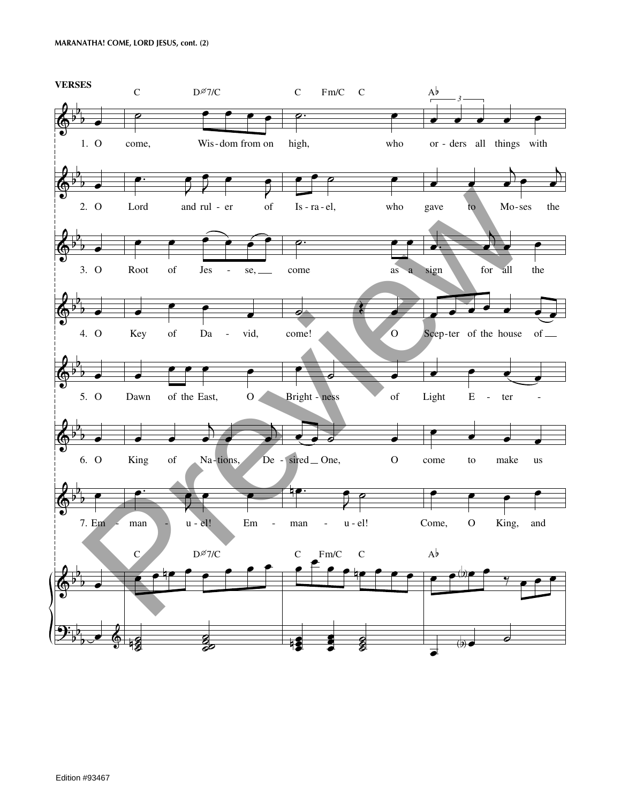